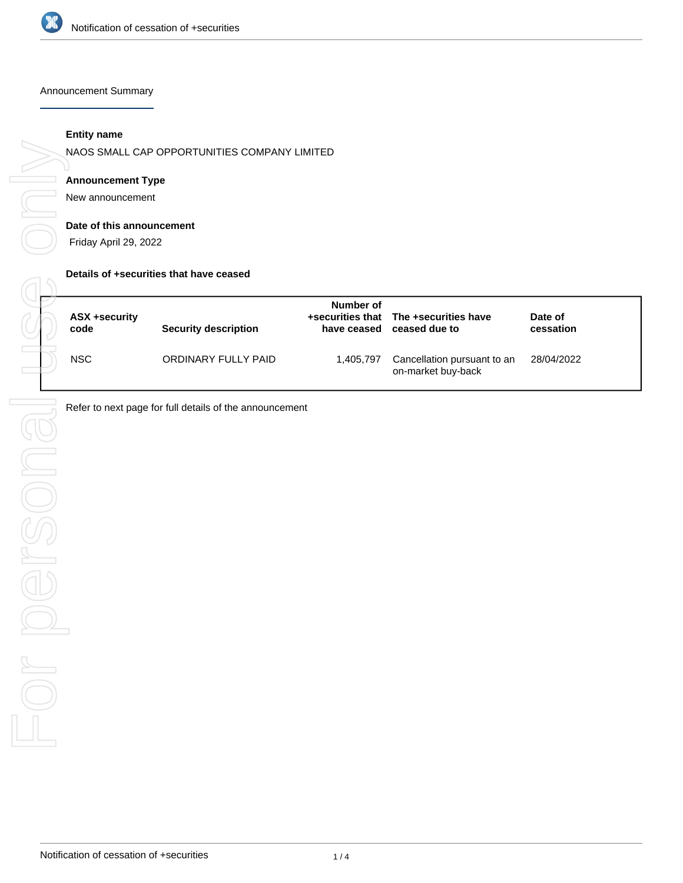

#### Announcement Summary

# **Entity name**

NAOS SMALL CAP OPPORTUNITIES COMPANY LIMITED

# **Announcement Type**

New announcement

# **Date of this announcement**

Friday April 29, 2022

## **Details of +securities that have ceased**

| ASX +security<br>code | <b>Security description</b> | Number of<br>have ceased | +securities that The +securities have<br>ceased due to | Date of<br>cessation |
|-----------------------|-----------------------------|--------------------------|--------------------------------------------------------|----------------------|
| <b>NSC</b>            | ORDINARY FULLY PAID         | 1,405,797                | Cancellation pursuant to an<br>on-market buy-back      | 28/04/2022           |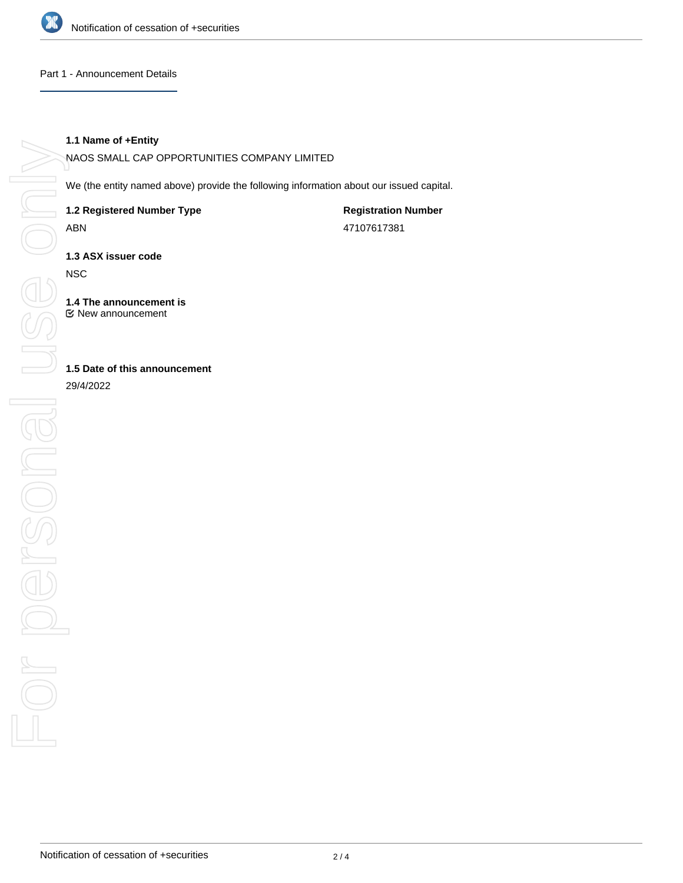

# Part 1 - Announcement Details

# **1.1 Name of +Entity**

NAOS SMALL CAP OPPORTUNITIES COMPANY LIMITED

We (the entity named above) provide the following information about our issued capital.

**1.2 Registered Number Type**

ABN

**Registration Number** 47107617381

**1.3 ASX issuer code**

**NSC** 

**1.4 The announcement is** New announcement

# **1.5 Date of this announcement**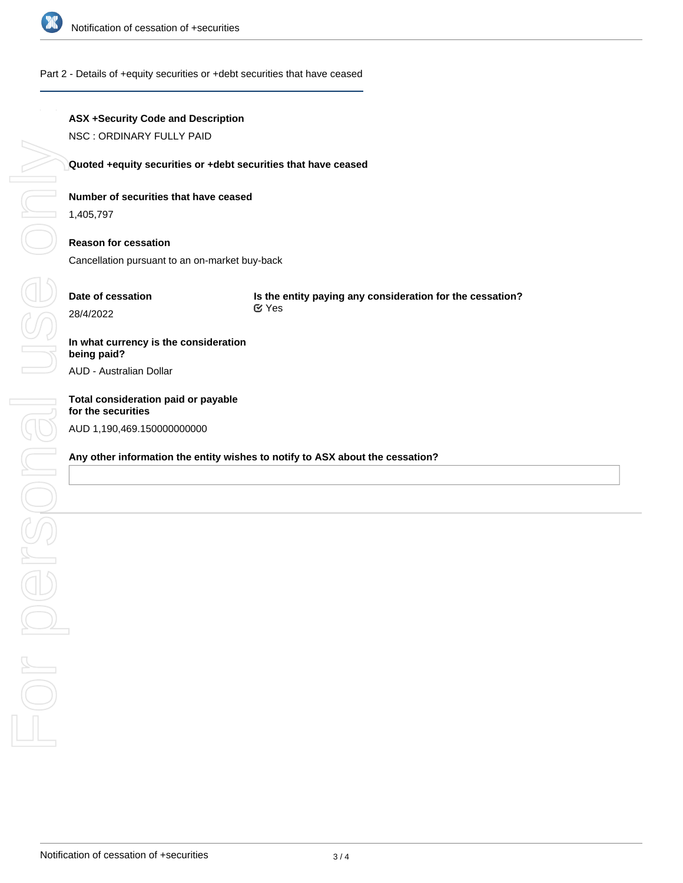

## Part 2 - Details of +equity securities or +debt securities that have ceased

# **ASX +Security Code and Description**

NSC : ORDINARY FULLY PAID

## **Quoted +equity securities or +debt securities that have ceased**

# **Number of securities that have ceased**

1,405,797

# **Reason for cessation**

Cancellation pursuant to an on-market buy-back

# **Date of cessation**

**Is the entity paying any consideration for the cessation?** Yes

# **In what currency is the consideration being paid?**

AUD - Australian Dollar

# **Total consideration paid or payable** AUD 1,190,469.150000000000

## **Any other information the entity wishes to notify to ASX about the cessation?**